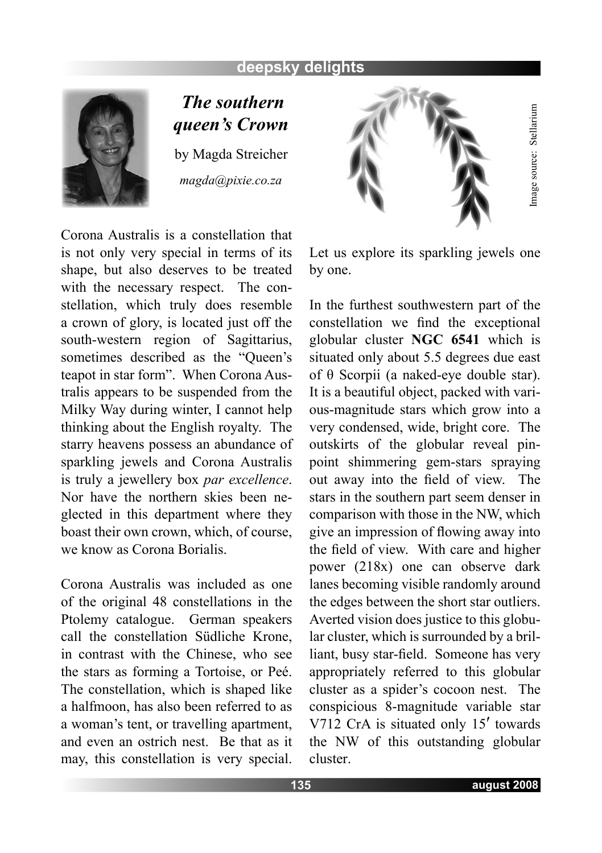## **deepsky delights**



 *The southern queen's Crown* by Magda Streicher *magda@pixie.co.za*

Corona Australis is a constellation that is not only very special in terms of its shape, but also deserves to be treated with the necessary respect. The constellation, which truly does resemble a crown of glory, is located just off the south-western region of Sagittarius, sometimes described as the "Queen's teapot in star form". When Corona Australis appears to be suspended from the Milky Way during winter, I cannot help thinking about the English royalty. The starry heavens possess an abundance of sparkling jewels and Corona Australis is truly a jewellery box *par excellence*. Nor have the northern skies been neglected in this department where they boast their own crown, which, of course, we know as Corona Borialis.

Corona Australis was included as one of the original 48 constellations in the Ptolemy catalogue. German speakers call the constellation Südliche Krone, in contrast with the Chinese, who see the stars as forming a Tortoise, or Peé. The constellation, which is shaped like a halfmoon, has also been referred to as a woman's tent, or travelling apartment, and even an ostrich nest. Be that as it may, this constellation is very special.



Let us explore its sparkling jewels one by one.

In the furthest southwestern part of the constellation we find the exceptional globular cluster **NGC 6541** which is situated only about 5.5 degrees due east of θ Scorpii (a naked-eye double star). It is a beautiful object, packed with various-magnitude stars which grow into a very condensed, wide, bright core. The outskirts of the globular reveal pinpoint shimmering gem-stars spraying out away into the field of view. The stars in the southern part seem denser in comparison with those in the NW, which give an impression of flowing away into the field of view. With care and higher power (218x) one can observe dark lanes becoming visible randomly around the edges between the short star outliers. Averted vision does justice to this globular cluster, which is surrounded by a brilliant, busy star-field. Someone has very appropriately referred to this globular cluster as a spider's cocoon nest. The conspicious 8-magnitude variable star V712 CrA is situated only 15′ towards the NW of this outstanding globular cluster.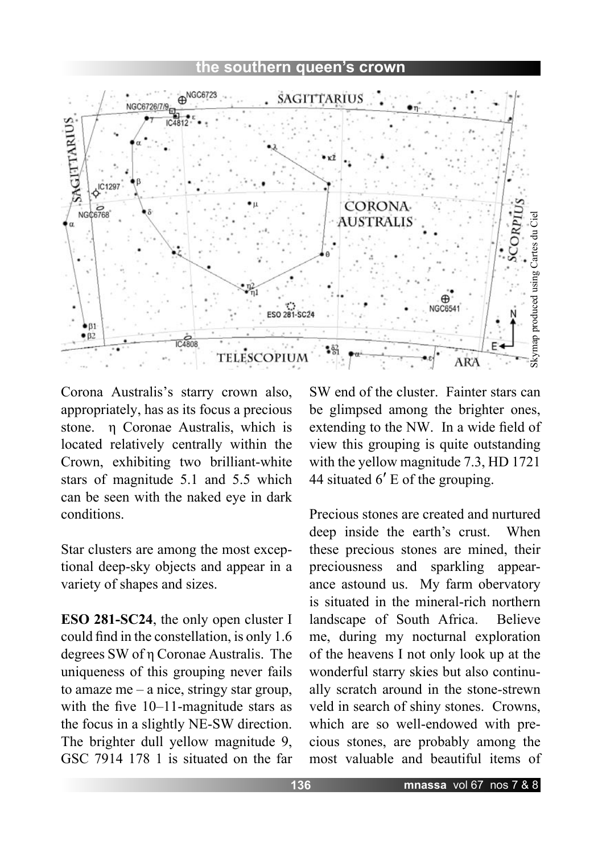## **the southern queen's crown**



Corona Australis's starry crown also, appropriately, has as its focus a precious stone. η Coronae Australis, which is located relatively centrally within the Crown, exhibiting two brilliant-white stars of magnitude 5.1 and 5.5 which can be seen with the naked eye in dark conditions.

Star clusters are among the most exceptional deep-sky objects and appear in a variety of shapes and sizes.

**ESO 281-SC24**, the only open cluster I could find in the constellation, is only 1.6 degrees SW of η Coronae Australis. The uniqueness of this grouping never fails to amaze me – a nice, stringy star group, with the five 10–11-magnitude stars as the focus in a slightly NE-SW direction. The brighter dull yellow magnitude 9, GSC 7914 178 1 is situated on the far

SW end of the cluster. Fainter stars can be glimpsed among the brighter ones, extending to the NW. In a wide field of view this grouping is quite outstanding with the yellow magnitude 7.3, HD 1721 44 situated 6′ E of the grouping.

Precious stones are created and nurtured deep inside the earth's crust. When these precious stones are mined, their preciousness and sparkling appearance astound us. My farm obervatory is situated in the mineral-rich northern landscape of South Africa. Believe me, during my nocturnal exploration of the heavens I not only look up at the wonderful starry skies but also continually scratch around in the stone-strewn veld in search of shiny stones. Crowns, which are so well-endowed with precious stones, are probably among the most valuable and beautiful items of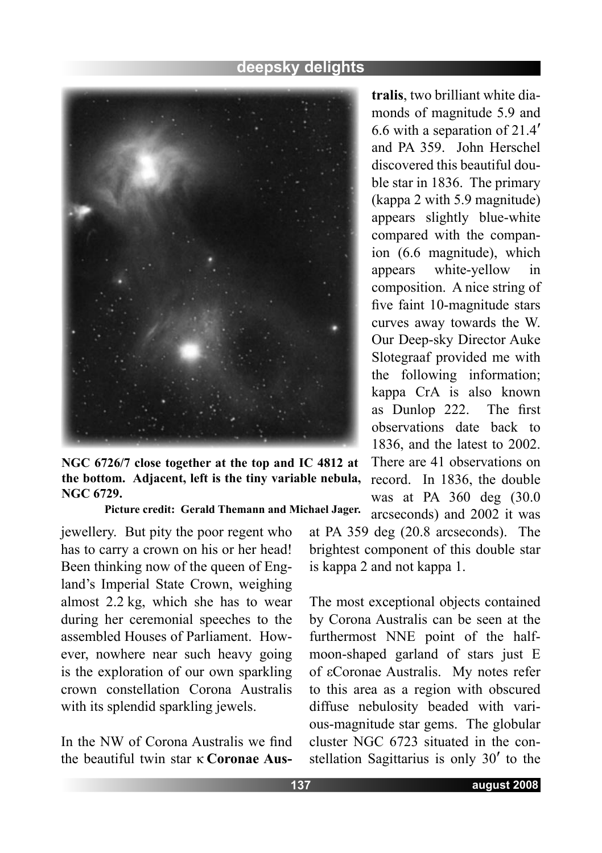

**NGC 6726/7 close together at the top and IC 4812 at the bottom. Adjacent, left is the tiny variable nebula, NGC 6729.** 

**Picture credit: Gerald Themann and Michael Jager.**

jewellery. But pity the poor regent who has to carry a crown on his or her head! Been thinking now of the queen of England's Imperial State Crown, weighing almost 2.2 kg, which she has to wear during her ceremonial speeches to the assembled Houses of Parliament. However, nowhere near such heavy going is the exploration of our own sparkling crown constellation Corona Australis with its splendid sparkling jewels.

In the NW of Corona Australis we find the beautiful twin star κ **Coronae Aus-** **tralis**, two brilliant white diamonds of magnitude 5.9 and 6.6 with a separation of 21.4′ and PA 359. John Herschel discovered this beautiful double star in 1836. The primary (kappa 2 with 5.9 magnitude) appears slightly blue-white compared with the companion (6.6 magnitude), which appears white-yellow in composition. A nice string of five faint 10-magnitude stars curves away towards the W. Our Deep-sky Director Auke Slotegraaf provided me with the following information; kappa CrA is also known as Dunlop 222. The first observations date back to 1836, and the latest to 2002. There are 41 observations on record. In 1836, the double was at PA 360 deg (30.0 arcseconds) and 2002 it was

at PA 359 deg (20.8 arcseconds). The brightest component of this double star is kappa 2 and not kappa 1.

The most exceptional objects contained by Corona Australis can be seen at the furthermost NNE point of the halfmoon-shaped garland of stars just E of εCoronae Australis. My notes refer to this area as a region with obscured diffuse nebulosity beaded with various-magnitude star gems. The globular cluster NGC 6723 situated in the constellation Sagittarius is only 30′ to the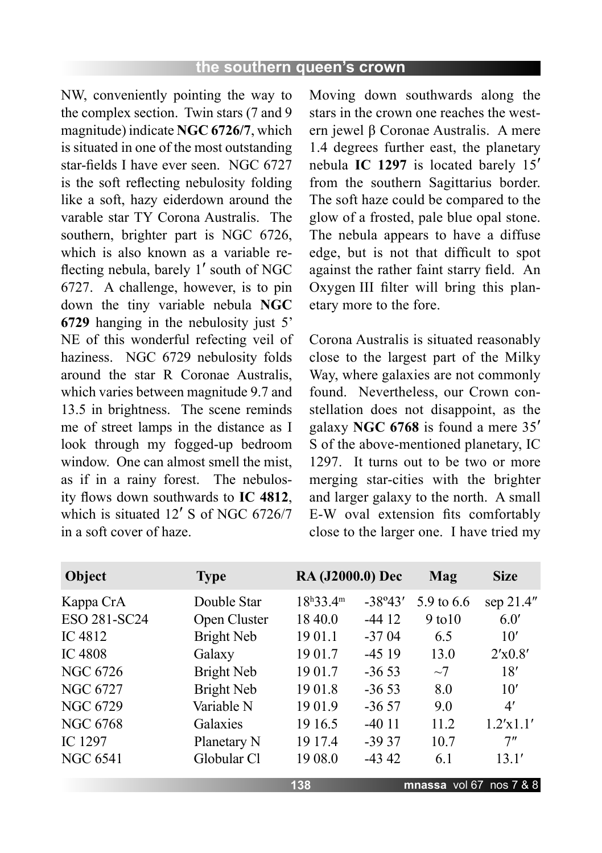NW, conveniently pointing the way to the complex section. Twin stars (7 and 9 magnitude) indicate **NGC 6726/7**, which is situated in one of the most outstanding star-fields I have ever seen. NGC 6727 is the soft reflecting nebulosity folding like a soft, hazy eiderdown around the varable star TY Corona Australis. The southern, brighter part is NGC 6726, which is also known as a variable reflecting nebula, barely 1′ south of NGC 6727. A challenge, however, is to pin down the tiny variable nebula **NGC 6729** hanging in the nebulosity just 5' NE of this wonderful refecting veil of haziness. NGC 6729 nebulosity folds around the star R Coronae Australis, which varies between magnitude 9.7 and 13.5 in brightness. The scene reminds me of street lamps in the distance as I look through my fogged-up bedroom window. One can almost smell the mist. as if in a rainy forest. The nebulosity flows down southwards to **IC 4812**, which is situated 12' S of NGC 6726/7 in a soft cover of haze.

Moving down southwards along the stars in the crown one reaches the western jewel β Coronae Australis. A mere 1.4 degrees further east, the planetary nebula **IC 1297** is located barely 15′ from the southern Sagittarius border. The soft haze could be compared to the glow of a frosted, pale blue opal stone. The nebula appears to have a diffuse edge, but is not that difficult to spot against the rather faint starry field. An Oxygen III filter will bring this planetary more to the fore.

Corona Australis is situated reasonably close to the largest part of the Milky Way, where galaxies are not commonly found. Nevertheless, our Crown constellation does not disappoint, as the galaxy **NGC 6768** is found a mere 35′ S of the above-mentioned planetary, IC 1297. It turns out to be two or more merging star-cities with the brighter and larger galaxy to the north. A small E-W oval extension fits comfortably close to the larger one. I have tried my

| Object          | <b>Type</b>  | <b>RA (J2000.0) Dec</b> |           | <b>Mag</b>              | <b>Size</b> |
|-----------------|--------------|-------------------------|-----------|-------------------------|-------------|
| Kappa CrA       | Double Star  | $18^{h}33.4^{m}$        | $-38°43'$ | 5.9 to 6.6              | sep 21.4"   |
| ESO 281-SC24    | Open Cluster | 18 40.0                 | $-4412$   | 9 to 10                 | 6.0'        |
| IC 4812         | Bright Neb   | 19 01.1                 | $-3704$   | 6.5                     | 10'         |
| <b>IC 4808</b>  | Galaxy       | 19 01.7                 | $-4519$   | 13.0                    | 2'x0.8'     |
| NGC 6726        | Bright Neb   | 19 01.7                 | $-3653$   | $\sim$ 7                | 18'         |
| NGC 6727        | Bright Neb   | 1901.8                  | $-3653$   | 8.0                     | 10'         |
| <b>NGC 6729</b> | Variable N   | 1901.9                  | $-3657$   | 9.0                     | 4'          |
| NGC 6768        | Galaxies     | 19 16.5                 | $-4011$   | 11.2                    | 1.2'x1.1'   |
| IC 1297         | Planetary N  | 19 17.4                 | $-3937$   | 10.7                    | 7"          |
| <b>NGC 6541</b> | Globular Cl  | 19 08.0                 | $-4342$   | 6.1                     | 13.1'       |
|                 |              | 138                     |           | mnassa vol 67 nos 7 & 8 |             |